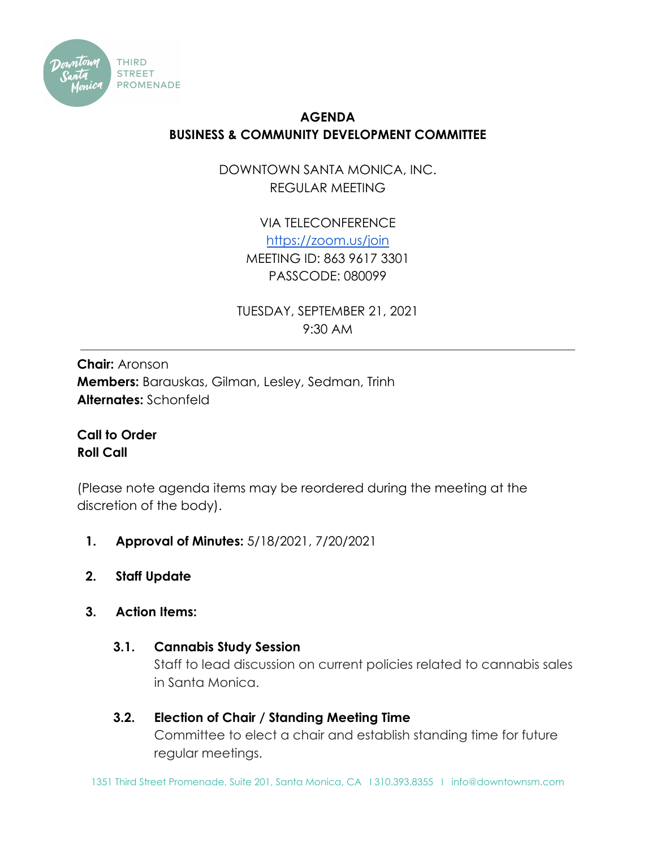

## **AGENDA BUSINESS & COMMUNITY DEVELOPMENT COMMITTEE**

DOWNTOWN SANTA MONICA, INC. REGULAR MEETING

> VIA TELECONFERENCE <https://zoom.us/join> MEETING ID: 863 9617 3301 PASSCODE: 080099

TUESDAY, SEPTEMBER 21, 2021 9:30 AM

**Chair:** Aronson **Members:** Barauskas, Gilman, Lesley, Sedman, Trinh **Alternates:** Schonfeld

**Call to Order Roll Call**

(Please note agenda items may be reordered during the meeting at the discretion of the body).

- **1. Approval of Minutes:** 5/18/2021, 7/20/2021
- **2. Staff Update**
- **3. Action Items:**
	- **3.1. Cannabis Study Session**

Staff to lead discussion on current policies related to cannabis sales in Santa Monica.

**3.2. Election of Chair / Standing Meeting Time** Committee to elect a chair and establish standing time for future regular meetings.